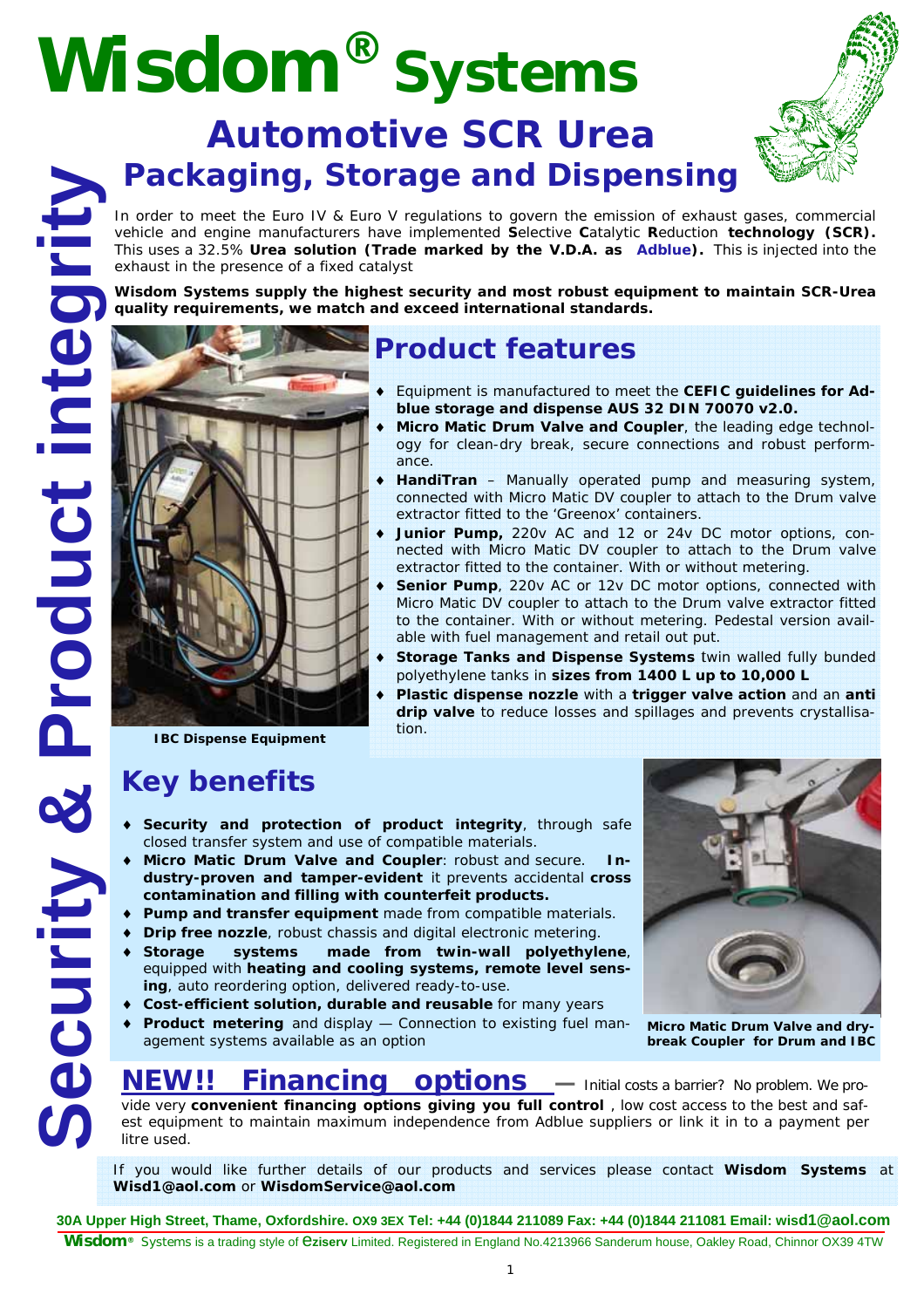# **Wisdom® Systems**

## **Automotive SCR Urea Packaging, Storage and Dispensing**

In order to meet the Euro IV & Euro V regulations to govern the emission of exhaust gases, commercial vehicle and engine manufacturers have implemented **S**elective **C**atalytic **R**eduction **technology (SCR).**  This uses a 32.5% **Urea solution (Trade marked by the V.D.A. as Adblue).** This is injected into the exhaust in the presence of a fixed catalyst

**Wisdom Systems supply the highest security and most robust equipment to maintain SCR-Urea quality requirements, we match and exceed international standards.** 



### **Product features**

- ♦ Equipment is manufactured to meet the **CEFIC guidelines for Adblue storage and dispense AUS 32 DIN 70070 v2.0.**
- Micro Matic Drum Valve and Coupler, the leading edge technology for clean-dry break, secure connections and robust performance.
- ♦ **HandiTran** Manually operated pump and measuring system, connected with Micro Matic DV coupler to attach to the Drum valve extractor fitted to the 'Greenox' containers.
- ♦ **Junior Pump,** 220v AC and 12 or 24v DC motor options, connected with Micro Matic DV coupler to attach to the Drum valve extractor fitted to the container. With or without metering.
- Senior Pump, 220v AC or 12v DC motor options, connected with Micro Matic DV coupler to attach to the Drum valve extractor fitted to the container. With or without metering. Pedestal version available with fuel management and retail out put.
- **Storage Tanks and Dispense Systems** twin walled fully bunded polyethylene tanks in **sizes from 1400 L up to 10,000 L**
- ♦ **Plastic dispense nozzle** with a **trigger valve action** and an **anti drip valve** to reduce losses and spillages and prevents crystallisation.

**IBC Dispense Equipment** 

## **Key benefits**

- ♦ **Security and protection of product integrity**, through safe closed transfer system and use of compatible materials.
- **Micro Matic Drum Valve and Coupler: robust and secure.** In**dustry-proven and tamper-evident** it prevents accidental **cross contamination and filling with counterfeit products.**
- ♦ **Pump and transfer equipment** made from compatible materials.
- ♦ **Drip free nozzle**, robust chassis and digital electronic metering.
- ♦ **Storage systems made from twin-wall polyethylene**, equipped with **heating and cooling systems, remote level sensing**, auto reordering option, delivered ready-to-use.
- ♦ **Cost-efficient solution, durable and reusable** for many years
- ♦ **Product metering** and display Connection to existing fuel management systems available as an option



**Micro Matic Drum Valve and drybreak Coupler for Drum and IBC** 

## **NEW!! Financing options** — Initial costs a barrier? No problem. We pro-

vide very **convenient financing options giving you full control** , low cost access to the best and safest equipment to maintain maximum independence from Adblue suppliers or link it in to a payment per litre used.

If you would like further details of our products and services please contact **Wisdom Systems** at **Wisd1@aol.com** or **WisdomService@aol.com**

**30A Upper High Street, Thame, Oxfordshire. OX9 3EX Tel: +44 (0)1844 211089 Fax: +44 (0)1844 211081 Email: wisd1@aol.com Wisdom®** Systems is a trading style of e**ziserv** Limited. Registered in England No.4213966 Sanderum house, Oakley Road, Chinnor OX39 4TW